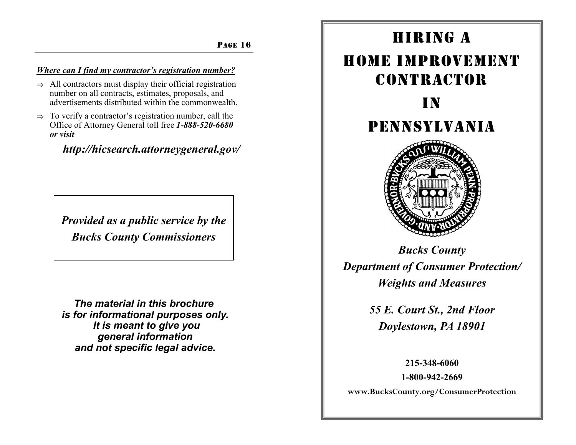### PAGE 16

# *Where can I find my contractor's registration number?*

- $\Rightarrow$  All contractors must display their official registration number on all contracts, estimates, proposals, and advertisements distributed within the commonwealth.
- $\Rightarrow$  To verify a contractor's registration number, call the Office of Attorney General toll free *1-888-520-6680 or visit*

# *http://hicsearch.attorneygeneral.gov/*

*Provided as a public service by the Bucks County Commissioners*

*The material in this brochure is for informational purposes only. It is meant to give you general information and not specific legal advice.*

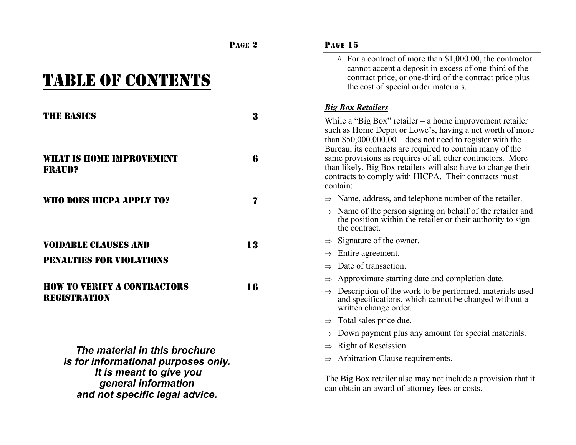|                                                                | PAGE <sub>2</sub> | <b>PAGE 15</b>                                                                                                                                                                                                                                    |
|----------------------------------------------------------------|-------------------|---------------------------------------------------------------------------------------------------------------------------------------------------------------------------------------------------------------------------------------------------|
| <b>TABLE OF CONTENTS</b>                                       |                   | $\Diamond$ For a contract of more than \$1,000.00, the contractor<br>cannot accept a deposit in excess of one-third of the<br>contract price, or one-third of the contract price plus<br>the cost of special order materials.                     |
|                                                                |                   | <b>Big Box Retailers</b>                                                                                                                                                                                                                          |
| <b>THE BASICS</b>                                              | 3                 | While a "Big Box" retailer $-$ a home improvement retailer<br>such as Home Depot or Lowe's, having a net worth of more<br>than $$50,000,000.00 -$ does not need to register with the<br>Bureau, its contracts are required to contain many of the |
| <b>WHAT IS HOME IMPROVEMENT</b><br><b>FRAUD?</b>               | 6                 | same provisions as requires of all other contractors. More<br>than likely, Big Box retailers will also have to change their<br>contracts to comply with HICPA. Their contracts must<br>contain:                                                   |
| WHO DOES HICPA APPLY TO?                                       | 7                 | $\Rightarrow$ Name, address, and telephone number of the retailer.                                                                                                                                                                                |
|                                                                |                   | $\Rightarrow$ Name of the person signing on behalf of the retailer and<br>the position within the retailer or their authority to sign<br>the contract.                                                                                            |
| <b>VOIDABLE CLAUSES AND</b>                                    | 13                | Signature of the owner.<br>$\Rightarrow$                                                                                                                                                                                                          |
| <b>PENALTIES FOR VIOLATIONS</b>                                |                   | Entire agreement.<br>$\Rightarrow$                                                                                                                                                                                                                |
|                                                                |                   | Date of transaction.<br>$\Rightarrow$                                                                                                                                                                                                             |
| <b>HOW TO VERIFY A CONTRACTORS</b><br><b>REGISTRATION</b>      | 16                | Approximate starting date and completion date.                                                                                                                                                                                                    |
|                                                                |                   | Description of the work to be performed, materials used<br>and specifications, which cannot be changed without a<br>written change order.                                                                                                         |
|                                                                |                   | $\Rightarrow$ Total sales price due.                                                                                                                                                                                                              |
|                                                                |                   | Down payment plus any amount for special materials.<br>$\Rightarrow$                                                                                                                                                                              |
| The material in this brochure                                  |                   | Right of Rescission.<br>$\Rightarrow$                                                                                                                                                                                                             |
| is for informational purposes only.<br>It is meant to give you |                   | Arbitration Clause requirements.                                                                                                                                                                                                                  |
| general information<br>and not specific legal advice.          |                   | The Big Box retailer also may not include a provision that it<br>can obtain an award of attorney fees or costs.                                                                                                                                   |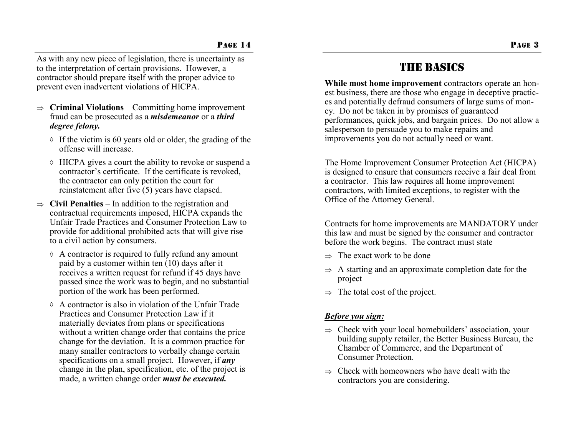As with any new piece of legislation, there is uncertainty as to the interpretation of certain provisions. However, a contractor should prepare itself with the proper advice to prevent even inadvertent violations of HICPA.

- $\Rightarrow$  **Criminal Violations** Committing home improvement fraud can be prosecuted as a *misdemeanor* or a *third degree felony.*
	- $\Diamond$  If the victim is 60 years old or older, the grading of the offense will increase.
	- HICPA gives a court the ability to revoke or suspend a contractor's certificate. If the certificate is revoked, the contractor can only petition the court for reinstatement after five (5) years have elapsed.
- $\Rightarrow$  Civil Penalties In addition to the registration and contractual requirements imposed, HICPA expands the Unfair Trade Practices and Consumer Protection Law to provide for additional prohibited acts that will give rise to a civil action by consumers.
	- $\Diamond$  A contractor is required to fully refund any amount paid by a customer within ten (10) days after it receives a written request for refund if 45 days have passed since the work was to begin, and no substantial portion of the work has been performed.
	- $\Diamond$  A contractor is also in violation of the Unfair Trade Practices and Consumer Protection Law if it materially deviates from plans or specifications without a written change order that contains the price change for the deviation. It is a common practice for many smaller contractors to verbally change certain specifications on a small project. However, if *any*  change in the plan, specification, etc. of the project is made, a written change order *must be executed.*

# **THE BASICS**

**While most home improvement** contractors operate an honest business, there are those who engage in deceptive practices and potentially defraud consumers of large sums of money. Do not be taken in by promises of guaranteed performances, quick jobs, and bargain prices. Do not allow a salesperson to persuade you to make repairs and improvements you do not actually need or want.

The Home Improvement Consumer Protection Act (HICPA) is designed to ensure that consumers receive a fair deal from a contractor. This law requires all home improvement contractors, with limited exceptions, to register with the Office of the Attorney General.

Contracts for home improvements are MANDATORY under this law and must be signed by the consumer and contractor before the work begins. The contract must state

- $\Rightarrow$  The exact work to be done
- $\Rightarrow$  A starting and an approximate completion date for the project
- $\Rightarrow$  The total cost of the project.

# *Before you sign:*

- $\Rightarrow$  Check with your local homebuilders' association, your building supply retailer, the Better Business Bureau, the Chamber of Commerce, and the Department of Consumer Protection.
- $\Rightarrow$  Check with homeowners who have dealt with the contractors you are considering.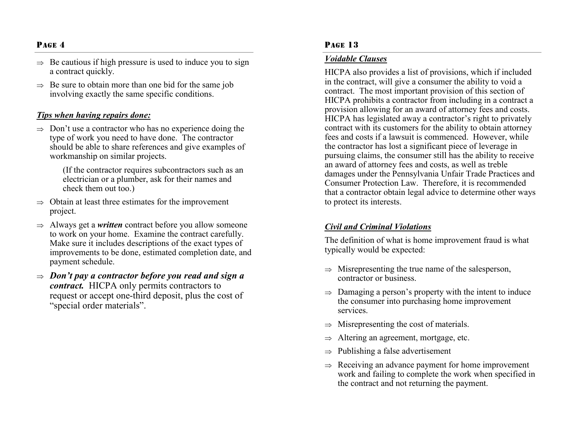## PAGE 4

- $\Rightarrow$  Be cautious if high pressure is used to induce you to sign a contract quickly.
- $\Rightarrow$  Be sure to obtain more than one bid for the same job involving exactly the same specific conditions.

#### *Tips when having repairs done:*

 $\Rightarrow$  Don't use a contractor who has no experience doing the type of work you need to have done. The contractor should be able to share references and give examples of workmanship on similar projects.

> (If the contractor requires subcontractors such as an electrician or a plumber, ask for their names and check them out too.)

- $\Rightarrow$  Obtain at least three estimates for the improvement project.
- $\Rightarrow$  Always get a *written* contract before you allow someone to work on your home. Examine the contract carefully. Make sure it includes descriptions of the exact types of improvements to be done, estimated completion date, and payment schedule.
- $\Rightarrow$  Don't pay a contractor before you read and sign a *contract.* HICPA only permits contractors to request or accept one-third deposit, plus the cost of "special order materials".

#### PAGE 13

#### *Voidable Clauses*

HICPA also provides a list of provisions, which if included in the contract, will give a consumer the ability to void a contract. The most important provision of this section of HICPA prohibits a contractor from including in a contract a provision allowing for an award of attorney fees and costs. HICPA has legislated away a contractor's right to privately contract with its customers for the ability to obtain attorney fees and costs if a lawsuit is commenced. However, while the contractor has lost a significant piece of leverage in pursuing claims, the consumer still has the ability to receive an award of attorney fees and costs, as well as treble damages under the Pennsylvania Unfair Trade Practices and Consumer Protection Law. Therefore, it is recommended that a contractor obtain legal advice to determine other ways to protect its interests.

### *Civil and Criminal Violations*

The definition of what is home improvement fraud is what typically would be expected:

- $\Rightarrow$  Misrepresenting the true name of the salesperson, contractor or business.
- $\Rightarrow$  Damaging a person's property with the intent to induce the consumer into purchasing home improvement services.
- $\Rightarrow$  Misrepresenting the cost of materials.
- $\Rightarrow$  Altering an agreement, mortgage, etc.
- $\Rightarrow$  Publishing a false advertisement
- $\Rightarrow$  Receiving an advance payment for home improvement work and failing to complete the work when specified in the contract and not returning the payment.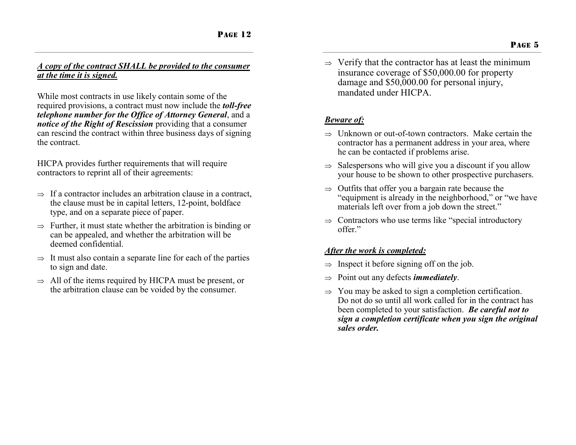## *A copy of the contract SHALL be provided to the consumer at the time it is signed.*

While most contracts in use likely contain some of the required provisions, a contract must now include the *toll-free telephone number for the Office of Attorney General*, and a *notice of the Right of Rescission* providing that a consumer can rescind the contract within three business days of signing the contract.

HICPA provides further requirements that will require contractors to reprint all of their agreements:

- $\Rightarrow$  If a contractor includes an arbitration clause in a contract, the clause must be in capital letters, 12-point, boldface type, and on a separate piece of paper.
- $\Rightarrow$  Further, it must state whether the arbitration is binding or can be appealed, and whether the arbitration will be deemed confidential.
- $\Rightarrow$  It must also contain a separate line for each of the parties to sign and date.
- $\Rightarrow$  All of the items required by HICPA must be present, or the arbitration clause can be voided by the consumer.

 $\Rightarrow$  Verify that the contractor has at least the minimum insurance coverage of \$50,000.00 for property damage and \$50,000.00 for personal injury, mandated under HICPA.

# *Beware of:*

- $\Rightarrow$  Unknown or out-of-town contractors. Make certain the contractor has a permanent address in your area, where he can be contacted if problems arise.
- $\Rightarrow$  Salespersons who will give you a discount if you allow your house to be shown to other prospective purchasers.
- $\Rightarrow$  Outfits that offer you a bargain rate because the "equipment is already in the neighborhood," or "we have materials left over from a job down the street."
- $\Rightarrow$  Contractors who use terms like "special introductory" offer."

# *After the work is completed:*

- $\Rightarrow$  Inspect it before signing off on the job.
- $\Rightarrow$  Point out any defects *immediately*.
- $\Rightarrow$  You may be asked to sign a completion certification. Do not do so until all work called for in the contract has been completed to your satisfaction. *Be careful not to sign a completion certificate when you sign the original sales order.*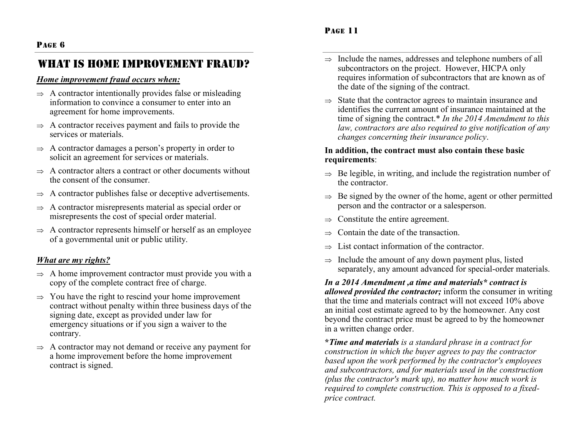# WHAT IS HOME IMPROVEMENT FRAUD?

## *Home improvement fraud occurs when:*

- $\Rightarrow$  A contractor intentionally provides false or misleading information to convince a consumer to enter into an agreement for home improvements.
- $\Rightarrow$  A contractor receives payment and fails to provide the services or materials.
- $\Rightarrow$  A contractor damages a person's property in order to solicit an agreement for services or materials.
- $\Rightarrow$  A contractor alters a contract or other documents without the consent of the consumer.
- $\Rightarrow$  A contractor publishes false or deceptive advertisements.
- $\Rightarrow$  A contractor misrepresents material as special order or misrepresents the cost of special order material.
- $\Rightarrow$  A contractor represents himself or herself as an employee of a governmental unit or public utility.

# *What are my rights?*

- $\Rightarrow$  A home improvement contractor must provide you with a copy of the complete contract free of charge.
- $\Rightarrow$  You have the right to rescind your home improvement contract without penalty within three business days of the signing date, except as provided under law for emergency situations or if you sign a waiver to the contrary.
- $\Rightarrow$  A contractor may not demand or receive any payment for a home improvement before the home improvement contract is signed.
- $\Rightarrow$  Include the names, addresses and telephone numbers of all subcontractors on the project. However, HICPA only requires information of subcontractors that are known as of the date of the signing of the contract.
- $\Rightarrow$  State that the contractor agrees to maintain insurance and identifies the current amount of insurance maintained at the time of signing the contract.\* *In the 2014 Amendment to this law, contractors are also required to give notification of any changes concerning their insurance policy*.

## **In addition, the contract must also contain these basic requirements**:

- $\Rightarrow$  Be legible, in writing, and include the registration number of the contractor.
- $\Rightarrow$  Be signed by the owner of the home, agent or other permitted person and the contractor or a salesperson.
- $\Rightarrow$  Constitute the entire agreement.
- $\Rightarrow$  Contain the date of the transaction.
- List contact information of the contractor.
- $\Rightarrow$  Include the amount of any down payment plus, listed separately, any amount advanced for special-order materials.

*In a 2014 Amendment ,a time and materials\* contract is allowed provided the contractor;* inform the consumer in writing that the time and materials contract will not exceed 10% above an initial cost estimate agreed to by the homeowner. Any cost beyond the contract price must be agreed to by the homeowner in a written change order.

**\****Time and materials is a standard phrase in a contract for construction in which the buyer agrees to pay the contractor based upon the work performed by the contractor's employees and subcontractors, and for materials used in the construction (plus the contractor's mark up), no matter how much work is required to complete construction. This is opposed to a fixedprice contract.*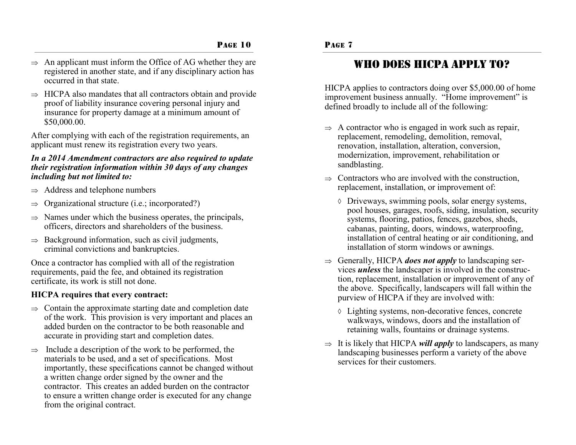- $\Rightarrow$  An applicant must inform the Office of AG whether they are registered in another state, and if any disciplinary action has occurred in that state.
- $\Rightarrow$  HICPA also mandates that all contractors obtain and provide proof of liability insurance covering personal injury and insurance for property damage at a minimum amount of \$50,000.00.

After complying with each of the registration requirements, an applicant must renew its registration every two years.

### *In a 2014 Amendment contractors are also required to update their registration information within 30 days of any changes including but not limited to:*

- $\Rightarrow$  Address and telephone numbers
- $\Rightarrow$  Organizational structure (i.e.; incorporated?)
- $\Rightarrow$  Names under which the business operates, the principals, officers, directors and shareholders of the business.
- $\Rightarrow$  Background information, such as civil judgments, criminal convictions and bankruptcies.

Once a contractor has complied with all of the registration requirements, paid the fee, and obtained its registration certificate, its work is still not done.

## **HICPA requires that every contract:**

- $\Rightarrow$  Contain the approximate starting date and completion date of the work. This provision is very important and places an added burden on the contractor to be both reasonable and accurate in providing start and completion dates.
- $\Rightarrow$  Include a description of the work to be performed, the materials to be used, and a set of specifications. Most importantly, these specifications cannot be changed without a written change order signed by the owner and the contractor. This creates an added burden on the contractor to ensure a written change order is executed for any change from the original contract.

# Who does HICPA apply to?

HICPA applies to contractors doing over \$5,000.00 of home improvement business annually. "Home improvement" is defined broadly to include all of the following:

- $\Rightarrow$  A contractor who is engaged in work such as repair, replacement, remodeling, demolition, removal, renovation, installation, alteration, conversion, modernization, improvement, rehabilitation or sandblasting.
- $\Rightarrow$  Contractors who are involved with the construction, replacement, installation, or improvement of:
	- Driveways, swimming pools, solar energy systems, pool houses, garages, roofs, siding, insulation, security systems, flooring, patios, fences, gazebos, sheds, cabanas, painting, doors, windows, waterproofing, installation of central heating or air conditioning, and installation of storm windows or awnings.
- $\Rightarrow$  Generally, HICPA *does not apply* to landscaping services *unless* the landscaper is involved in the construction, replacement, installation or improvement of any of the above. Specifically, landscapers will fall within the purview of HICPA if they are involved with:
	- Lighting systems, non-decorative fences, concrete walkways, windows, doors and the installation of retaining walls, fountains or drainage systems.
- $\Rightarrow$  It is likely that HICPA *will apply* to landscapers, as many landscaping businesses perform a variety of the above services for their customers.